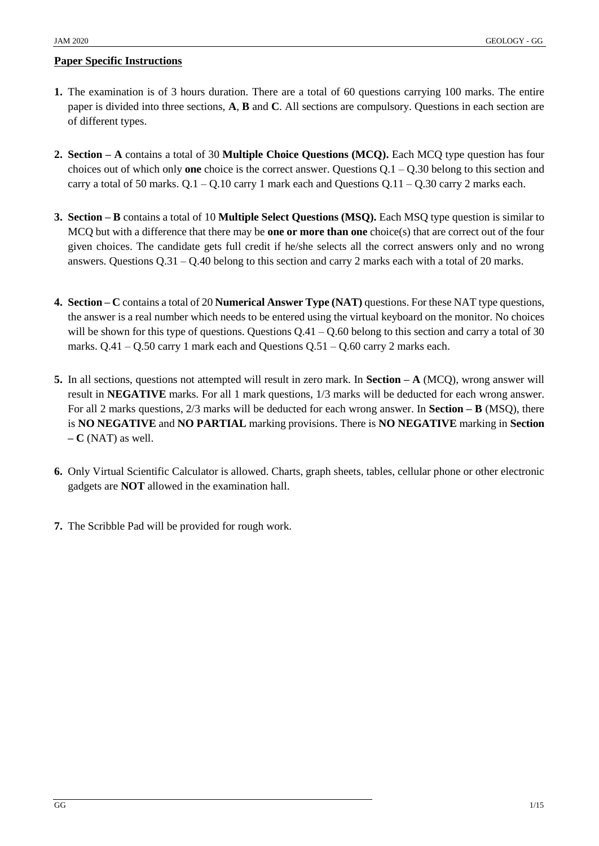#### **Paper Specific Instructions**

- **1.** The examination is of 3 hours duration. There are a total of 60 questions carrying 100 marks. The entire paper is divided into three sections, **A**, **B** and **C**. All sections are compulsory. Questions in each section are of different types.
- **2. Section – A** contains a total of 30 **Multiple Choice Questions (MCQ).** Each MCQ type question has four choices out of which only **one** choice is the correct answer. Questions Q.1 – Q.30 belong to this section and carry a total of 50 marks.  $Q.1 - Q.10$  carry 1 mark each and Questions  $Q.11 - Q.30$  carry 2 marks each.
- **3. Section – B** contains a total of 10 **Multiple Select Questions (MSQ).** Each MSQ type question is similar to MCQ but with a difference that there may be **one or more than one** choice(s) that are correct out of the four given choices. The candidate gets full credit if he/she selects all the correct answers only and no wrong answers. Questions  $Q.31 - Q.40$  belong to this section and carry 2 marks each with a total of 20 marks.
- **4. Section – C** contains a total of 20 **Numerical Answer Type (NAT)** questions. For these NAT type questions, the answer is a real number which needs to be entered using the virtual keyboard on the monitor. No choices will be shown for this type of questions. Questions  $Q.41 - Q.60$  belong to this section and carry a total of 30 marks.  $Q.41 - Q.50$  carry 1 mark each and Questions  $Q.51 - Q.60$  carry 2 marks each.
- **5.** In all sections, questions not attempted will result in zero mark. In **Section – A** (MCQ), wrong answer will result in **NEGATIVE** marks. For all 1 mark questions, 1/3 marks will be deducted for each wrong answer. For all 2 marks questions, 2/3 marks will be deducted for each wrong answer. In **Section – B** (MSQ), there is **NO NEGATIVE** and **NO PARTIAL** marking provisions. There is **NO NEGATIVE** marking in **Section – C** (NAT) as well.
- **6.** Only Virtual Scientific Calculator is allowed. Charts, graph sheets, tables, cellular phone or other electronic gadgets are **NOT** allowed in the examination hall.
- **7.** The Scribble Pad will be provided for rough work.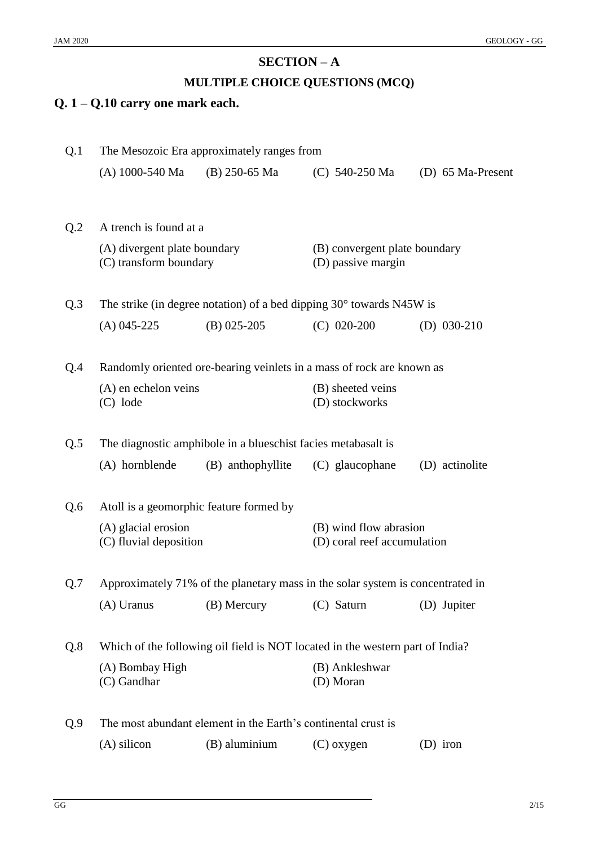# **SECTION – A**

## **MULTIPLE CHOICE QUESTIONS (MCQ)**

# **Q. 1 – Q.10 carry one mark each.**

| Q.1 | The Mesozoic Era approximately ranges from                                     |                                                                               |                                                       |                   |  |
|-----|--------------------------------------------------------------------------------|-------------------------------------------------------------------------------|-------------------------------------------------------|-------------------|--|
|     | (A) 1000-540 Ma                                                                | $(B)$ 250-65 Ma                                                               | $(C)$ 540-250 Ma                                      | (D) 65 Ma-Present |  |
| Q.2 | A trench is found at a                                                         |                                                                               |                                                       |                   |  |
|     | (A) divergent plate boundary<br>(C) transform boundary                         |                                                                               | (B) convergent plate boundary<br>(D) passive margin   |                   |  |
| Q.3 |                                                                                | The strike (in degree notation) of a bed dipping $30^{\circ}$ towards N45W is |                                                       |                   |  |
|     | $(A)$ 045-225                                                                  | $(B)$ 025-205                                                                 | $(C)$ 020-200                                         | (D) $030-210$     |  |
| Q.4 | Randomly oriented ore-bearing veinlets in a mass of rock are known as          |                                                                               |                                                       |                   |  |
|     | (A) en echelon veins<br>$(C)$ lode                                             |                                                                               | (B) sheeted veins<br>(D) stockworks                   |                   |  |
| Q.5 | The diagnostic amphibole in a blueschist facies metabasalt is                  |                                                                               |                                                       |                   |  |
|     | (A) hornblende                                                                 | (B) anthophyllite                                                             | (C) glaucophane                                       | (D) actinolite    |  |
| Q.6 | Atoll is a geomorphic feature formed by                                        |                                                                               |                                                       |                   |  |
|     | (A) glacial erosion<br>(C) fluvial deposition                                  |                                                                               | (B) wind flow abrasion<br>(D) coral reef accumulation |                   |  |
| Q.7 | Approximately 71% of the planetary mass in the solar system is concentrated in |                                                                               |                                                       |                   |  |
|     | (A) Uranus                                                                     | (B) Mercury                                                                   | (C) Saturn                                            | (D) Jupiter       |  |
| Q.8 | Which of the following oil field is NOT located in the western part of India?  |                                                                               |                                                       |                   |  |
|     | (A) Bombay High<br>(C) Gandhar                                                 |                                                                               | (B) Ankleshwar<br>(D) Moran                           |                   |  |
| Q.9 | The most abundant element in the Earth's continental crust is                  |                                                                               |                                                       |                   |  |
|     | $(A)$ silicon                                                                  | (B) aluminium                                                                 | $(C)$ oxygen                                          | $(D)$ iron        |  |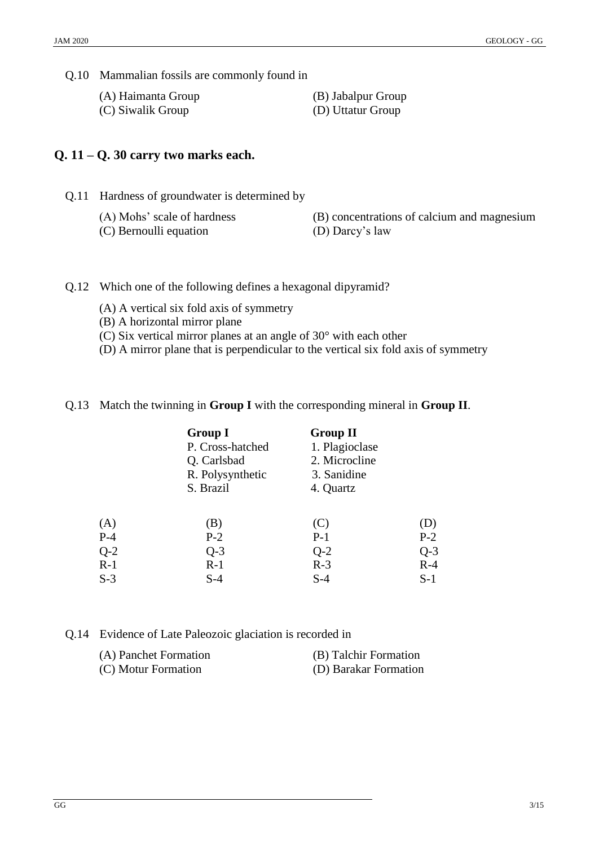Q.10 Mammalian fossils are commonly found in

(A) Haimanta Group (B) Jabalpur Group

(C) Siwalik Group (D) Uttatur Group

#### **Q. 11 – Q. 30 carry two marks each.**

Q.11 Hardness of groundwater is determined by

- 
- (C) Bernoulli equation (D) Darcy's law
- (A) Mohs' scale of hardness (B) concentrations of calcium and magnesium
	-
- Q.12 Which one of the following defines a hexagonal dipyramid?
	- (A) A vertical six fold axis of symmetry
	- (B) A horizontal mirror plane
	- (C) Six vertical mirror planes at an angle of 30° with each other
	- (D) A mirror plane that is perpendicular to the vertical six fold axis of symmetry
- Q.13 Match the twinning in **Group I** with the corresponding mineral in **Group II**.

|       | <b>Group I</b><br>P. Cross-hatched<br>Q. Carlsbad<br>R. Polysynthetic<br>S. Brazil | <b>Group II</b><br>1. Plagioclase<br>2. Microcline<br>3. Sanidine<br>4. Quartz |       |
|-------|------------------------------------------------------------------------------------|--------------------------------------------------------------------------------|-------|
| (A)   | (B)                                                                                | (C)                                                                            | (D)   |
| $P-4$ | $P-2$                                                                              | $P-1$                                                                          | $P-2$ |
| $Q-2$ | $Q-3$                                                                              | $Q-2$                                                                          | $Q-3$ |
| $R-1$ | $R-1$                                                                              | $R-3$                                                                          | $R-4$ |
| $S-3$ | $S-4$                                                                              | $S-4$                                                                          | $S-1$ |

#### Q.14 Evidence of Late Paleozoic glaciation is recorded in

| (A) Panchet Formation | (B) Talchir Formation |
|-----------------------|-----------------------|
| (C) Motur Formation   | (D) Barakar Formation |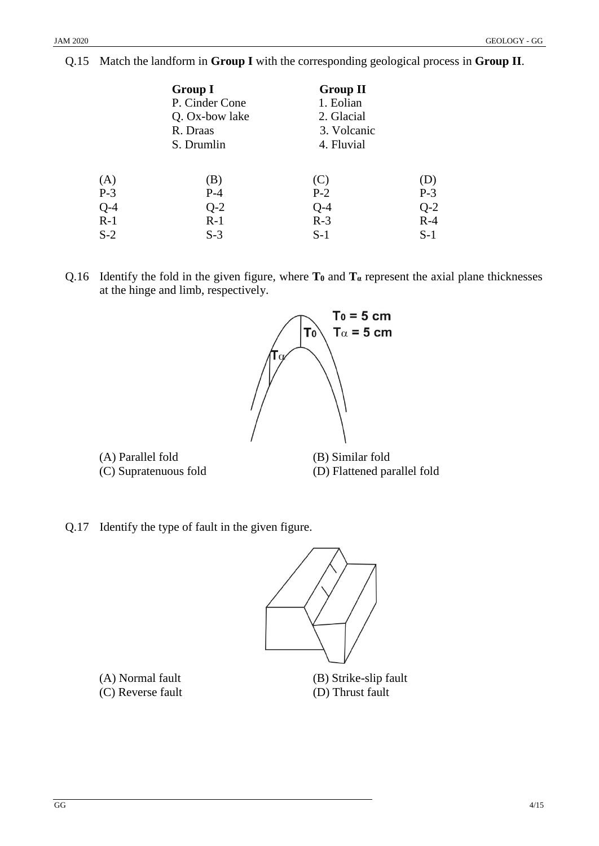|       | <b>Group I</b> | <b>Group II</b> |       |
|-------|----------------|-----------------|-------|
|       | P. Cinder Cone | 1. Eolian       |       |
|       | Q. Ox-bow lake | 2. Glacial      |       |
|       | R. Draas       | 3. Volcanic     |       |
|       | S. Drumlin     | 4. Fluvial      |       |
| (A)   | (B)            | (C)             | (D)   |
| $P-3$ | $P-4$          | $P-2$           | $P-3$ |
| $Q-4$ | $Q-2$          | $Q-4$           | $Q-2$ |
| $R-1$ | $R-1$          | $R-3$           | $R-4$ |
| $S-2$ | $S-3$          | $S-1$           | $S-1$ |

#### Q.15 Match the landform in **Group I** with the corresponding geological process in **Group II**.

Q.16 Identify the fold in the given figure, where  $T_0$  and  $T_a$  represent the axial plane thicknesses at the hinge and limb, respectively.



(A) Parallel fold (B) Similar fold

(C) Supratenuous fold (D) Flattened parallel fold

Q.17 Identify the type of fault in the given figure.



(C) Reverse fault (D) Thrust fault

(A) Normal fault (B) Strike-slip fault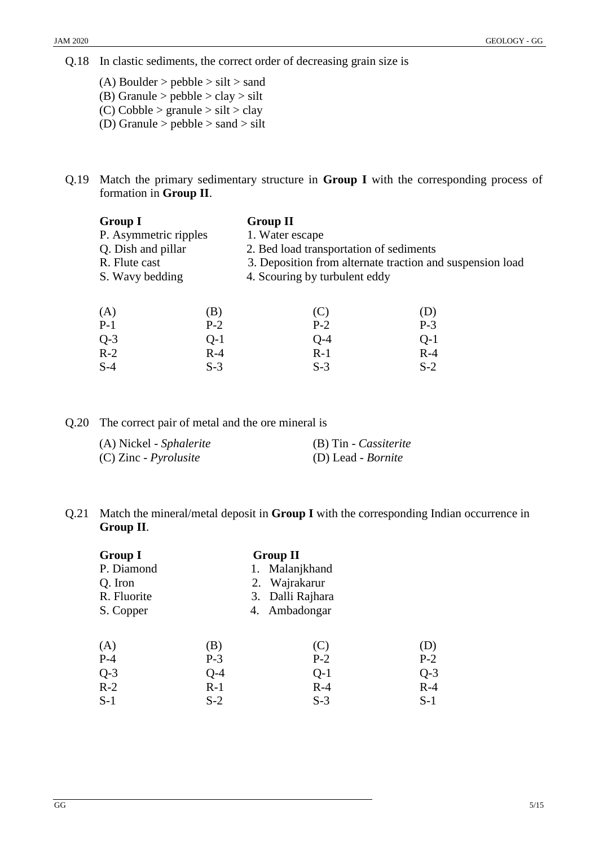Q.18 In clastic sediments, the correct order of decreasing grain size is

(A) Boulder  $>$  pebble  $>$  silt  $>$  sand (B) Granule  $>$  pebble  $>$  clay  $>$  silt (C) Cobble > granule > silt > clay

- (D) Granule  $>$  pebble  $>$  sand  $>$  silt
- Q.19 Match the primary sedimentary structure in **Group I** with the corresponding process of formation in **Group II**.

| <b>Group I</b>        |       | <b>Group II</b>                                           |       |  |
|-----------------------|-------|-----------------------------------------------------------|-------|--|
| P. Asymmetric ripples |       | 1. Water escape                                           |       |  |
| Q. Dish and pillar    |       | 2. Bed load transportation of sediments                   |       |  |
| R. Flute cast         |       | 3. Deposition from alternate traction and suspension load |       |  |
| S. Wavy bedding       |       | 4. Scouring by turbulent eddy                             |       |  |
| (A)                   | (B)   | (C)                                                       | (D)   |  |
| $P-1$                 | $P-2$ | $P-2$                                                     | $P-3$ |  |
| $Q-3$                 | $Q-1$ | $Q-4$                                                     | $Q-1$ |  |
| $R-2$                 | $R-4$ | $R-1$                                                     | $R-4$ |  |
| $S-4$                 | $S-3$ | $S-3$                                                     | $S-2$ |  |

Q.20 The correct pair of metal and the ore mineral is

| (A) Nickel - Sphalerite      | (B) Tin - Cassiterite     |
|------------------------------|---------------------------|
| (C) Zinc - <i>Pyrolusite</i> | (D) Lead - <i>Bornite</i> |

#### Q.21 Match the mineral/metal deposit in **Group I** with the corresponding Indian occurrence in **Group II**.

| <b>Group I</b> |       | <b>Group II</b>  |       |
|----------------|-------|------------------|-------|
| P. Diamond     |       | 1. Malanjkhand   |       |
| Q. Iron        |       | 2. Wajrakarur    |       |
| R. Fluorite    |       | 3. Dalli Rajhara |       |
| S. Copper      |       | 4. Ambadongar    |       |
|                |       |                  |       |
| (A)            | (B)   | (C)              | (D)   |
| $P-4$          | $P-3$ | $P-2$            | $P-2$ |
| $Q-3$          | Q-4   | $Q-1$            | $Q-3$ |
| $R-2$          | $R-1$ | $R-4$            | $R-4$ |
| $S-1$          | $S-2$ | $S-3$            | $S-1$ |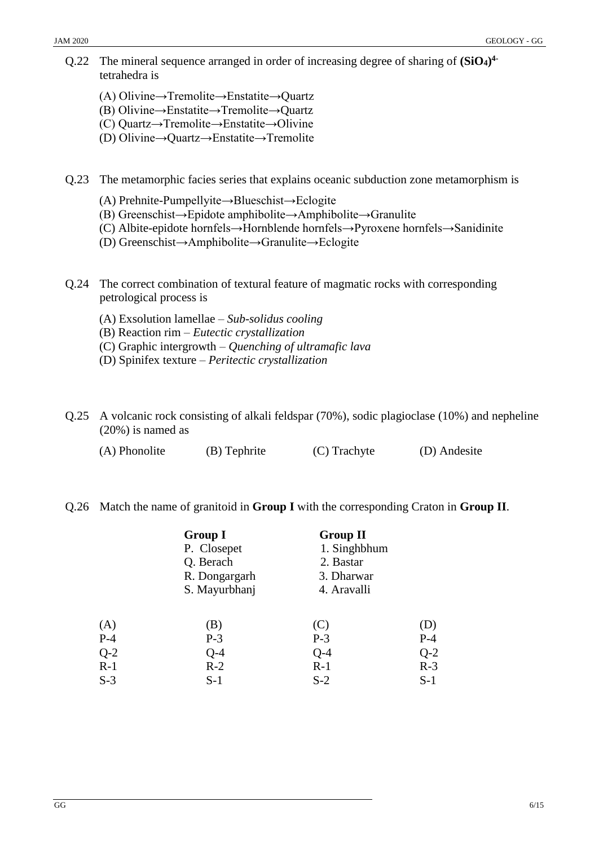- Q.22 The mineral sequence arranged in order of increasing degree of sharing of **(SiO4) 4** tetrahedra is
	- (A) Olivine→Tremolite→Enstatite→Quartz
	- (B) Olivine→Enstatite→Tremolite→Quartz
	- (C) Quartz→Tremolite→Enstatite→Olivine
	- (D) Olivine→Quartz→Enstatite→Tremolite
- Q.23 The metamorphic facies series that explains oceanic subduction zone metamorphism is
	- (A) Prehnite-Pumpellyite→Blueschist→Eclogite
	- (B) Greenschist→Epidote amphibolite→Amphibolite→Granulite
	- (C) Albite-epidote hornfels→Hornblende hornfels→Pyroxene hornfels→Sanidinite
	- (D) Greenschist→Amphibolite→Granulite→Eclogite
- Q.24 The correct combination of textural feature of magmatic rocks with corresponding petrological process is
	- (A) Exsolution lamellae *Sub-solidus cooling*
	- (B) Reaction rim *Eutectic crystallization*
	- (C) Graphic intergrowth *Quenching of ultramafic lava*
	- (D) Spinifex texture *Peritectic crystallization*
- Q.25 A volcanic rock consisting of alkali feldspar (70%), sodic plagioclase (10%) and nepheline (20%) is named as
	- (A) Phonolite (B) Tephrite (C) Trachyte (D) Andesite

#### Q.26 Match the name of granitoid in **Group I** with the corresponding Craton in **Group II**.

|       | <b>Group I</b> | <b>Group II</b> |       |
|-------|----------------|-----------------|-------|
|       | P. Closepet    | 1. Singhbhum    |       |
|       | Q. Berach      | 2. Bastar       |       |
|       | R. Dongargarh  | 3. Dharwar      |       |
|       | S. Mayurbhanj  | 4. Aravalli     |       |
|       |                |                 |       |
| (A)   | (B)            | (C)             | (D)   |
| $P-4$ | $P-3$          | $P-3$           | $P-4$ |
| $Q-2$ | $Q-4$          | $Q-4$           | $Q-2$ |
| $R-1$ | $R-2$          | $R-1$           | $R-3$ |
| $S-3$ | $S-1$          | $S-2$           | $S-1$ |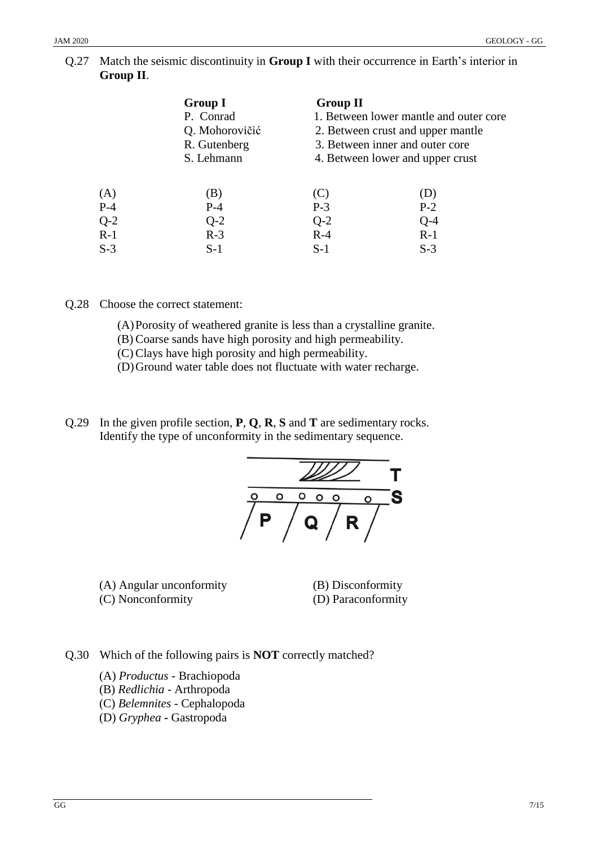#### Q.27 Match the seismic discontinuity in **Group I** with their occurrence in Earth's interior in **Group II**.

|       | <b>Group I</b> | <b>Group II</b> |                                        |
|-------|----------------|-----------------|----------------------------------------|
|       | P. Conrad      |                 | 1. Between lower mantle and outer core |
|       | Q. Mohorovičić |                 | 2. Between crust and upper mantle      |
|       | R. Gutenberg   |                 | 3. Between inner and outer core        |
|       | S. Lehmann     |                 | 4. Between lower and upper crust       |
|       |                |                 |                                        |
| (A)   | (B)            | (C)             | (D)                                    |
| $P-4$ | $P-4$          | $P-3$           | $P-2$                                  |
| $Q-2$ | $Q-2$          | $Q-2$           | $Q-4$                                  |
| $R-1$ | $R-3$          | $R-4$           | $R-1$                                  |
| $S-3$ | $S-1$          | $S-1$           | $S-3$                                  |

Q.28 Choose the correct statement:

- (A)Porosity of weathered granite is less than a crystalline granite.
- (B) Coarse sands have high porosity and high permeability.
- (C) Clays have high porosity and high permeability.
- (D)Ground water table does not fluctuate with water recharge.
- Q.29 In the given profile section, **P**, **Q**, **R**, **S** and **T** are sedimentary rocks. Identify the type of unconformity in the sedimentary sequence.



(A) Angular unconformity (B) Disconformity (C) Nonconformity (D) Paraconformity

Q.30 Which of the following pairs is **NOT** correctly matched?

- (A) *Productus -* Brachiopoda
- (B) *Redlichia -* Arthropoda
- (C) *Belemnites -* Cephalopoda
- (D) *Gryphea* **-** Gastropoda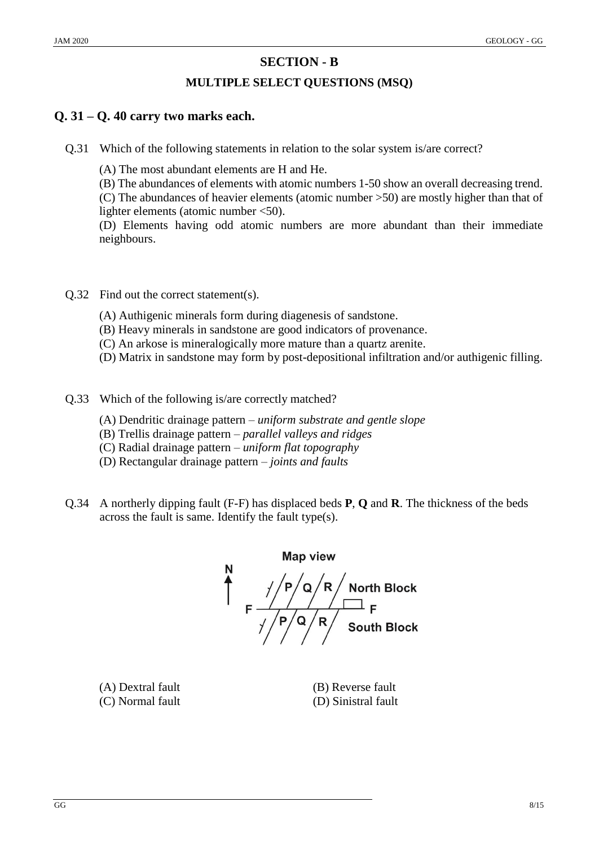# **SECTION - B**

## **MULTIPLE SELECT QUESTIONS (MSQ)**

## **Q. 31 – Q. 40 carry two marks each.**

Q.31 Which of the following statements in relation to the solar system is/are correct?

(A) The most abundant elements are H and He.

(B) The abundances of elements with atomic numbers 1-50 show an overall decreasing trend. (C) The abundances of heavier elements (atomic number >50) are mostly higher than that of

lighter elements (atomic number <50).

(D) Elements having odd atomic numbers are more abundant than their immediate neighbours.

- Q.32 Find out the correct statement(s).
	- (A) Authigenic minerals form during diagenesis of sandstone.
	- (B) Heavy minerals in sandstone are good indicators of provenance.
	- (C) An arkose is mineralogically more mature than a quartz arenite.
	- (D) Matrix in sandstone may form by post-depositional infiltration and/or authigenic filling.
- Q.33 Which of the following is/are correctly matched?
	- (A) Dendritic drainage pattern *uniform substrate and gentle slope*
	- (B) Trellis drainage pattern *parallel valleys and ridges*
	- (C) Radial drainage pattern *uniform flat topography*
	- (D) Rectangular drainage pattern *joints and faults*
- Q.34 A northerly dipping fault (F-F) has displaced beds **P**, **Q** and **R**. The thickness of the beds across the fault is same. Identify the fault type(s).

**Map view**  $F \frac{\sqrt{P/Q/R}}{\sqrt{P/Q/R}}$ <br>F<br> $\frac{\sqrt{P/Q/R}}{\sqrt{P/R}}$ <br>South Block

(A) Dextral fault (B) Reverse fault (C) Normal fault (D) Sinistral fault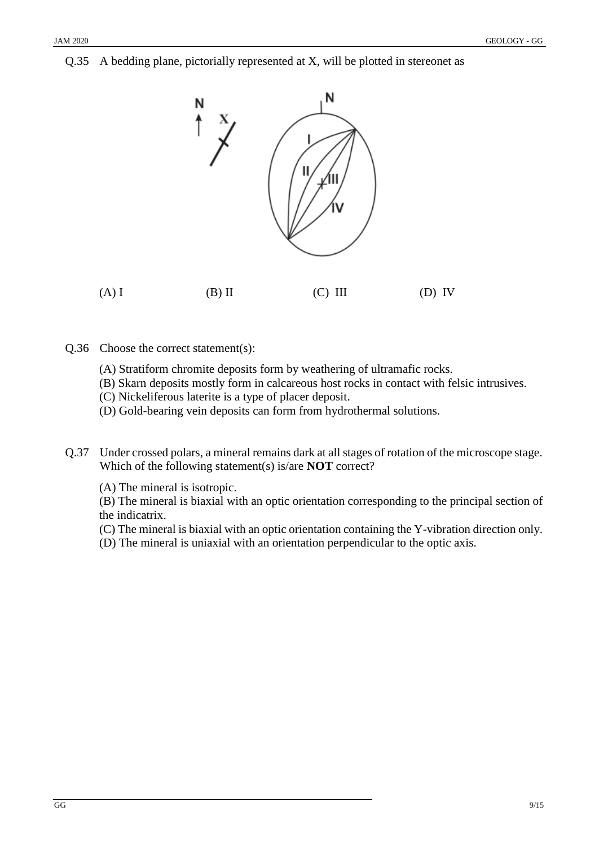Q.35 A bedding plane, pictorially represented at X, will be plotted in stereonet as



- Q.36 Choose the correct statement(s):
	- (A) Stratiform chromite deposits form by weathering of ultramafic rocks.
	- (B) Skarn deposits mostly form in calcareous host rocks in contact with felsic intrusives.
	- (C) Nickeliferous laterite is a type of placer deposit.
	- (D) Gold-bearing vein deposits can form from hydrothermal solutions.
- Q.37 Under crossed polars, a mineral remains dark at all stages of rotation of the microscope stage. Which of the following statement(s) is/are **NOT** correct?

(A) The mineral is isotropic.

(B) The mineral is biaxial with an optic orientation corresponding to the principal section of the indicatrix.

- (C) The mineral is biaxial with an optic orientation containing the Y-vibration direction only.
- (D) The mineral is uniaxial with an orientation perpendicular to the optic axis.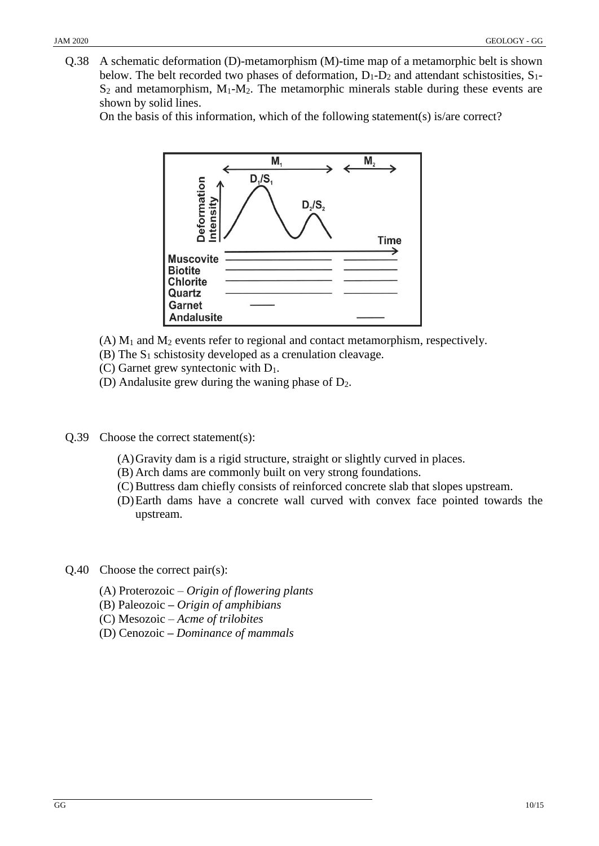Q.38 A schematic deformation (D)-metamorphism (M)-time map of a metamorphic belt is shown below. The belt recorded two phases of deformation,  $D_1 - D_2$  and attendant schistosities,  $S_1$ - $S_2$  and metamorphism,  $M_1-M_2$ . The metamorphic minerals stable during these events are shown by solid lines.

On the basis of this information, which of the following statement(s) is/are correct?



- $(A)$  M<sub>1</sub> and M<sub>2</sub> events refer to regional and contact metamorphism, respectively.
- (B) The S<sup>1</sup> schistosity developed as a crenulation cleavage.
- (C) Garnet grew syntectonic with D1.
- (D) Andalusite grew during the waning phase of  $D_2$ .
- Q.39 Choose the correct statement(s):
	- (A)Gravity dam is a rigid structure, straight or slightly curved in places.
	- (B) Arch dams are commonly built on very strong foundations.
	- (C) Buttress dam chiefly consists of reinforced concrete slab that slopes upstream.
	- (D)Earth dams have a concrete wall curved with convex face pointed towards the upstream.
- Q.40 Choose the correct pair(s):
	- (A) Proterozoic *Origin of flowering plants*
	- (B) Paleozoic **–** *Origin of amphibians*
	- (C) Mesozoic *– Acme of trilobites*
	- (D) Cenozoic **–** *Dominance of mammals*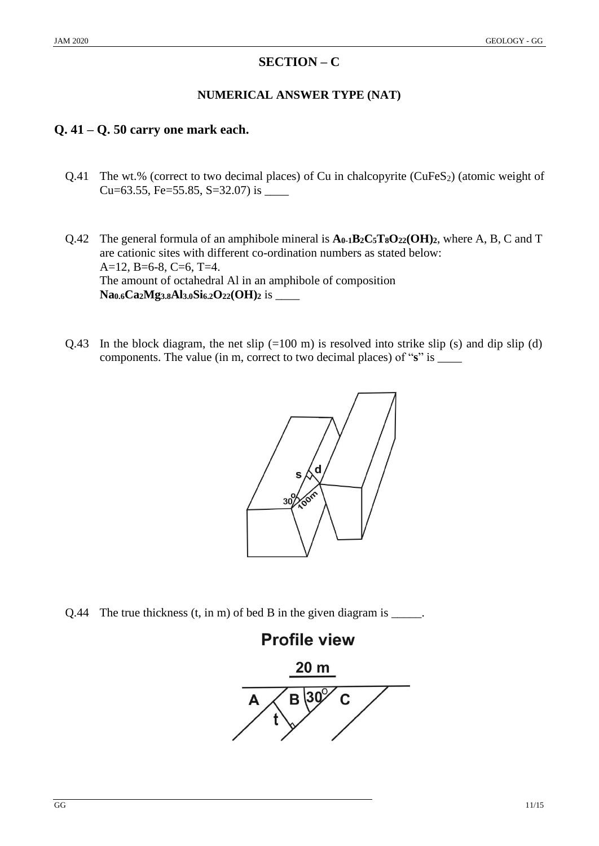## **SECTION – C**

#### **NUMERICAL ANSWER TYPE (NAT)**

# **Q. 41 – Q. 50 carry one mark each.**

- Q.41 The wt.% (correct to two decimal places) of Cu in chalcopyrite (CuFeS<sub>2</sub>) (atomic weight of Cu=63.55, Fe=55.85, S=32.07) is \_\_\_\_\_
- Q.42 The general formula of an amphibole mineral is **A0-1B2C5T8O22(OH)2**, where A, B, C and T are cationic sites with different co-ordination numbers as stated below: A=12, B=6-8, C=6, T=4. The amount of octahedral Al in an amphibole of composition **Na0.6Ca2Mg3.8Al3.0Si6.2O22(OH)<sup>2</sup>** is \_\_\_\_
- Q.43 In the block diagram, the net slip  $(=100 \text{ m})$  is resolved into strike slip (s) and dip slip (d) components. The value (in m, correct to two decimal places) of "**s**" is \_\_\_\_



Q.44 The true thickness (t, in m) of bed B in the given diagram is \_\_\_\_\_.

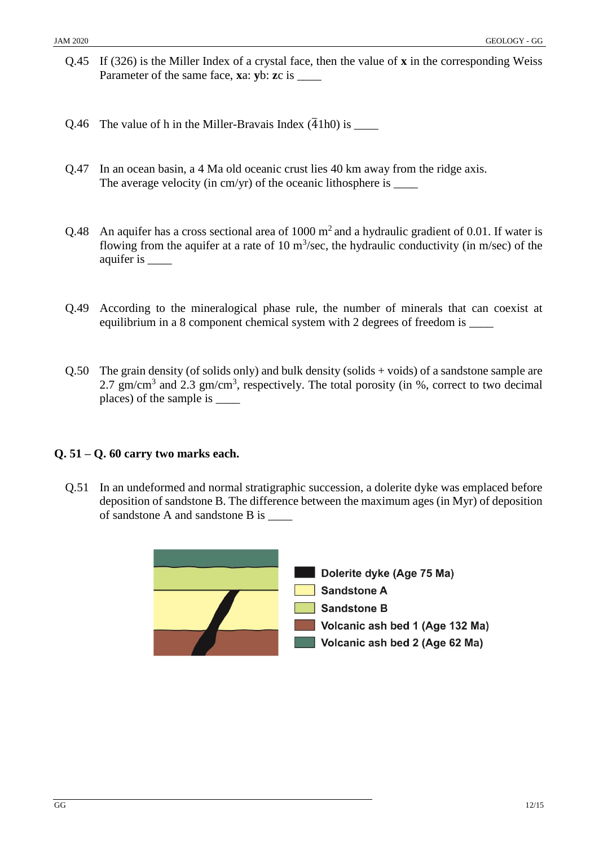- Q.45 If (326) is the Miller Index of a crystal face, then the value of **x** in the corresponding Weiss Parameter of the same face, **x**a: **y**b: **z**c is \_\_\_\_
- Q.46 The value of h in the Miller-Bravais Index  $(\overline{4}1h0)$  is \_\_\_\_\_
- Q.47 In an ocean basin, a 4 Ma old oceanic crust lies 40 km away from the ridge axis. The average velocity (in  $cm/yr$ ) of the oceanic lithosphere is
- Q.48 An aquifer has a cross sectional area of 1000  $m<sup>2</sup>$  and a hydraulic gradient of 0.01. If water is flowing from the aquifer at a rate of 10  $\text{m}^3/\text{sec}$ , the hydraulic conductivity (in m/sec) of the aquifer is \_\_\_\_
- Q.49 According to the mineralogical phase rule, the number of minerals that can coexist at equilibrium in a 8 component chemical system with 2 degrees of freedom is \_\_\_\_\_
- Q.50 The grain density (of solids only) and bulk density (solids + voids) of a sandstone sample are 2.7 gm/cm<sup>3</sup> and 2.3 gm/cm<sup>3</sup>, respectively. The total porosity (in %, correct to two decimal places) of the sample is \_\_\_\_

#### **Q. 51 – Q. 60 carry two marks each.**

Q.51 In an undeformed and normal stratigraphic succession, a dolerite dyke was emplaced before deposition of sandstone B. The difference between the maximum ages (in Myr) of deposition of sandstone A and sandstone B is \_\_\_\_

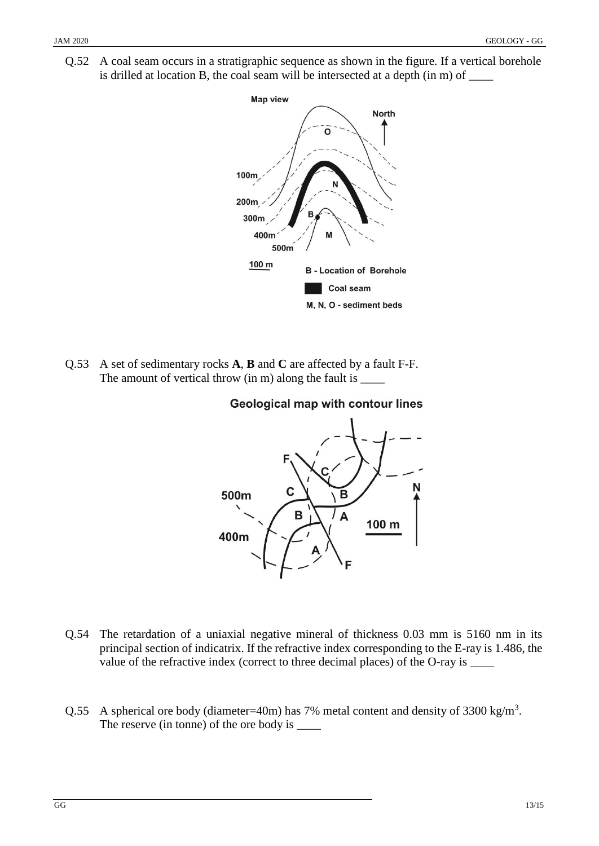Q.52 A coal seam occurs in a stratigraphic sequence as shown in the figure. If a vertical borehole is drilled at location B, the coal seam will be intersected at a depth (in m) of  $\Box$ 



Q.53 A set of sedimentary rocks **A**, **B** and **C** are affected by a fault F-F. The amount of vertical throw (in m) along the fault is \_\_\_\_\_

## **Geological map with contour lines**



- Q.54 The retardation of a uniaxial negative mineral of thickness 0.03 mm is 5160 nm in its principal section of indicatrix. If the refractive index corresponding to the E-ray is 1.486, the value of the refractive index (correct to three decimal places) of the O-ray is \_\_\_\_\_
- Q.55 A spherical ore body (diameter=40m) has 7% metal content and density of 3300 kg/m<sup>3</sup>. The reserve (in tonne) of the ore body is  $\frac{ }{ }$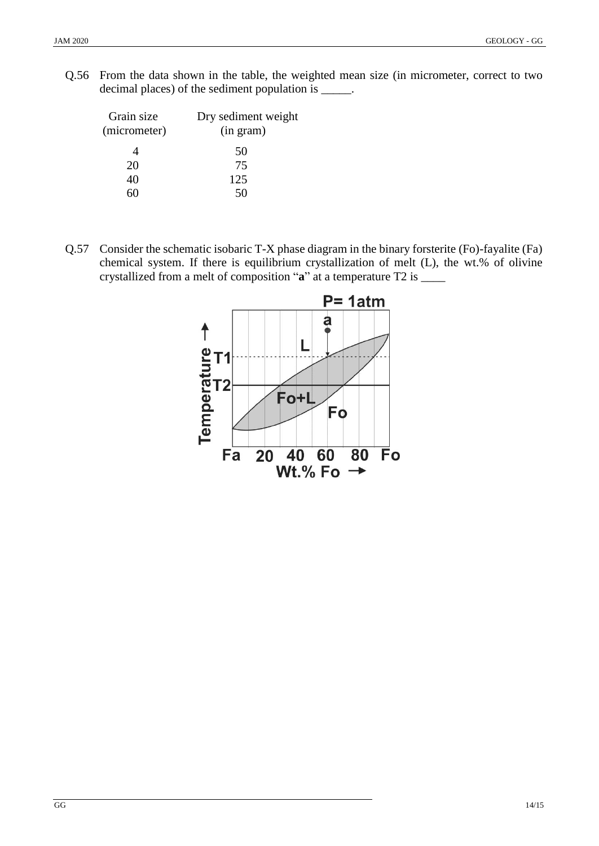Q.56 From the data shown in the table, the weighted mean size (in micrometer, correct to two decimal places) of the sediment population is \_\_\_\_\_.

| Grain size<br>(micrometer) | Dry sediment weight<br>(in gram) |
|----------------------------|----------------------------------|
|                            | 50                               |
| 20                         | 75                               |
| 40                         | 125                              |
|                            |                                  |

Q.57 Consider the schematic isobaric T-X phase diagram in the binary forsterite (Fo)-fayalite (Fa) chemical system. If there is equilibrium crystallization of melt (L), the wt.% of olivine crystallized from a melt of composition "**a**" at a temperature T2 is \_\_\_\_